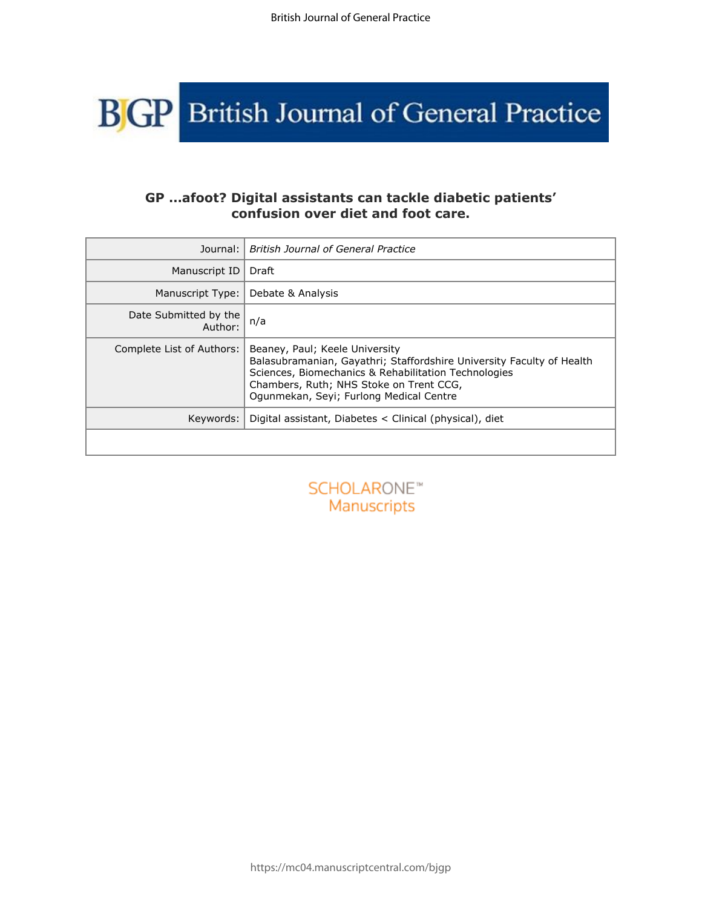

# **GP …afoot? Digital assistants can tackle diabetic patients' confusion over diet and foot care.**

| Journal:                               | <b>British Journal of General Practice</b>                                                                                                                                                                                                            |  |
|----------------------------------------|-------------------------------------------------------------------------------------------------------------------------------------------------------------------------------------------------------------------------------------------------------|--|
| Manuscript ID                          | Draft                                                                                                                                                                                                                                                 |  |
| Manuscript Type:                       | Debate & Analysis                                                                                                                                                                                                                                     |  |
| Date Submitted by the<br>Author:       | n/a                                                                                                                                                                                                                                                   |  |
| Complete List of Authors:              | Beaney, Paul; Keele University<br>Balasubramanian, Gayathri; Staffordshire University Faculty of Health<br>Sciences, Biomechanics & Rehabilitation Technologies<br>Chambers, Ruth; NHS Stoke on Trent CCG,<br>Ogunmekan, Seyi; Furlong Medical Centre |  |
| Keywords:                              | Digital assistant, Diabetes < Clinical (physical), diet                                                                                                                                                                                               |  |
|                                        |                                                                                                                                                                                                                                                       |  |
| SCHOLARONE <sup>®</sup><br>Manuscripts |                                                                                                                                                                                                                                                       |  |
|                                        |                                                                                                                                                                                                                                                       |  |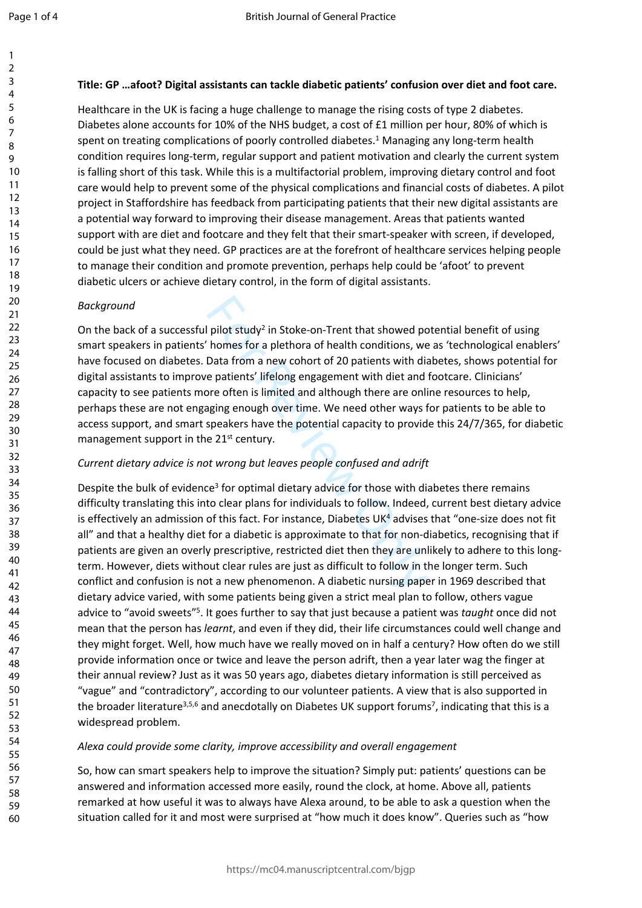123456789

 $\mathbf{1}$  $\overline{2}$  $\overline{3}$  $\overline{4}$ 5 6  $\overline{7}$ 8 9

# **Title: GP …afoot? Digital assistants can tackle diabetic patients' confusion over diet and foot care.**

Healthcare in the UK is facing a huge challenge to manage the rising costs of type 2 diabetes. Diabetes alone accounts for 10% of the NHS budget, a cost of £1 million per hour, 80% of which is spent on treating complications of poorly controlled diabetes. 1 Managing any long-term health condition requires long-term, regular support and patient motivation and clearly the current system is falling short of this task. While this is a multifactorial problem, improving dietary control and foot care would help to prevent some of the physical complications and financial costs of diabetes. A pilot project in Staffordshire has feedback from participating patients that their new digital assistants are a potential way forward to improving their disease management. Areas that patients wanted support with are diet and footcare and they felt that their smart-speaker with screen, if developed, could be just what they need. GP practices are at the forefront of healthcare services helping people to manage their condition and promote prevention, perhaps help could be 'afoot' to prevent diabetic ulcers or achieve dietary control, in the form of digital assistants.

## *Background*

pilot study<sup>2</sup> in Stoke-on-Trent that showed po<br>homes for a plethora of health conditions, we<br>Data from a new cohort of 20 patients with dia<br>e patients' lifelong engagement with diet and<br>ore often is limited and although t On the back of a successful pilot study<sup>2</sup> in Stoke-on-Trent that showed potential benefit of using smart speakers in patients' homes for a plethora of health conditions, we as 'technological enablers' have focused on diabetes. Data from a new cohort of 20 patients with diabetes, shows potential for digital assistants to improve patients' lifelong engagement with diet and footcare. Clinicians' capacity to see patients more often is limited and although there are online resources to help, perhaps these are not engaging enough over time. We need other ways for patients to be able to access support, and smart speakers have the potential capacity to provide this 24/7/365, for diabetic management support in the 21<sup>st</sup> century.

# *Current dietary advice is not wrong but leaves people confused and adrift*

Despite the bulk of evidence<sup>3</sup> for optimal dietary advice for those with diabetes there remains difficulty translating this into clear plans for individuals to follow. Indeed, current best dietary advice is effectively an admission of this fact. For instance, Diabetes UK<sup>4</sup> advises that "one-size does not fit all" and that a healthy diet for a diabetic is approximate to that for non-diabetics, recognising that if patients are given an overly prescriptive, restricted diet then they are unlikely to adhere to this longterm. However, diets without clear rules are just as difficult to follow in the longer term. Such conflict and confusion is not a new phenomenon. A diabetic nursing paper in 1969 described that dietary advice varied, with some patients being given a strict meal plan to follow, others vague advice to "avoid sweets"<sup>5</sup>. It goes further to say that just because a patient was *taught* once did not mean that the person has *learnt*, and even if they did, their life circumstances could well change and they might forget. Well, how much have we really moved on in half a century? How often do we still provide information once or twice and leave the person adrift, then a year later wag the finger at their annual review? Just as it was 50 years ago, diabetes dietary information is still perceived as "vague" and "contradictory", according to our volunteer patients. A view that is also supported in the broader literature<sup>3,5,6</sup> and anecdotally on Diabetes UK support forums<sup>7</sup>, indicating that this is a widespread problem.

## *Alexa could provide some clarity, improve accessibility and overall engagement*

So, how can smart speakers help to improve the situation? Simply put: patients' questions can be answered and information accessed more easily, round the clock, at home. Above all, patients remarked at how useful it was to always have Alexa around, to be able to ask a question when the situation called for it and most were surprised at "how much it does know". Queries such as "how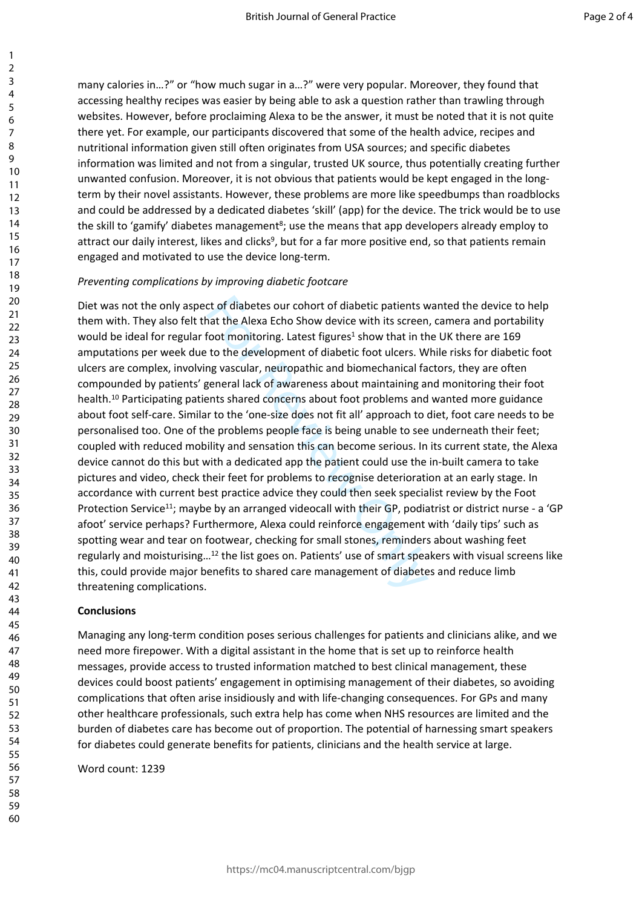many calories in…?" or "how much sugar in a…?" were very popular. Moreover, they found that accessing healthy recipes was easier by being able to ask a question rather than trawling through websites. However, before proclaiming Alexa to be the answer, it must be noted that it is not quite there yet. For example, our participants discovered that some of the health advice, recipes and nutritional information given still often originates from USA sources; and specific diabetes information was limited and not from a singular, trusted UK source, thus potentially creating further unwanted confusion. Moreover, it is not obvious that patients would be kept engaged in the longterm by their novel assistants. However, these problems are more like speedbumps than roadblocks and could be addressed by a dedicated diabetes 'skill' (app) for the device. The trick would be to use the skill to 'gamify' diabetes management<sup>8</sup>; use the means that app developers already employ to attract our daily interest, likes and clicks<sup>9</sup>, but for a far more positive end, so that patients remain engaged and motivated to use the device long-term.

### *Preventing complications by improving diabetic footcare*

ct of diabetes our cohort of diabetic patients w<br>nat the Alexa Echo Show device with its screen<br>foot monitoring. Latest figures<sup>1</sup> show that in th<br>to the development of diabetic foot ulcers. W<br>ng vascular, neuropathic and Diet was not the only aspect of diabetes our cohort of diabetic patients wanted the device to help them with. They also felt that the Alexa Echo Show device with its screen, camera and portability would be ideal for regular foot monitoring. Latest figures<sup>1</sup> show that in the UK there are 169 amputations per week due to the development of diabetic foot ulcers. While risks for diabetic foot ulcers are complex, involving vascular, neuropathic and biomechanical factors, they are often compounded by patients' general lack of awareness about maintaining and monitoring their foot health.<sup>10</sup> Participating patients shared concerns about foot problems and wanted more guidance about foot self-care. Similar to the 'one-size does not fit all' approach to diet, foot care needs to be personalised too. One of the problems people face is being unable to see underneath their feet; coupled with reduced mobility and sensation this can become serious. In its current state, the Alexa device cannot do this but with a dedicated app the patient could use the in-built camera to take pictures and video, check their feet for problems to recognise deterioration at an early stage. In accordance with current best practice advice they could then seek specialist review by the Foot Protection Service<sup>11</sup>; maybe by an arranged videocall with their GP, podiatrist or district nurse - a 'GP afoot' service perhaps? Furthermore, Alexa could reinforce engagement with 'daily tips' such as spotting wear and tear on footwear, checking for small stones, reminders about washing feet regularly and moisturising…<sup>12</sup> the list goes on. Patients' use of smart speakers with visual screens like this, could provide major benefits to shared care management of diabetes and reduce limb threatening complications.

## **Conclusions**

Managing any long-term condition poses serious challenges for patients and clinicians alike, and we need more firepower. With a digital assistant in the home that is set up to reinforce health messages, provide access to trusted information matched to best clinical management, these devices could boost patients' engagement in optimising management of their diabetes, so avoiding complications that often arise insidiously and with life-changing consequences. For GPs and many other healthcare professionals, such extra help has come when NHS resources are limited and the burden of diabetes care has become out of proportion. The potential of harnessing smart speakers for diabetes could generate benefits for patients, clinicians and the health service at large.

Word count: 1239

1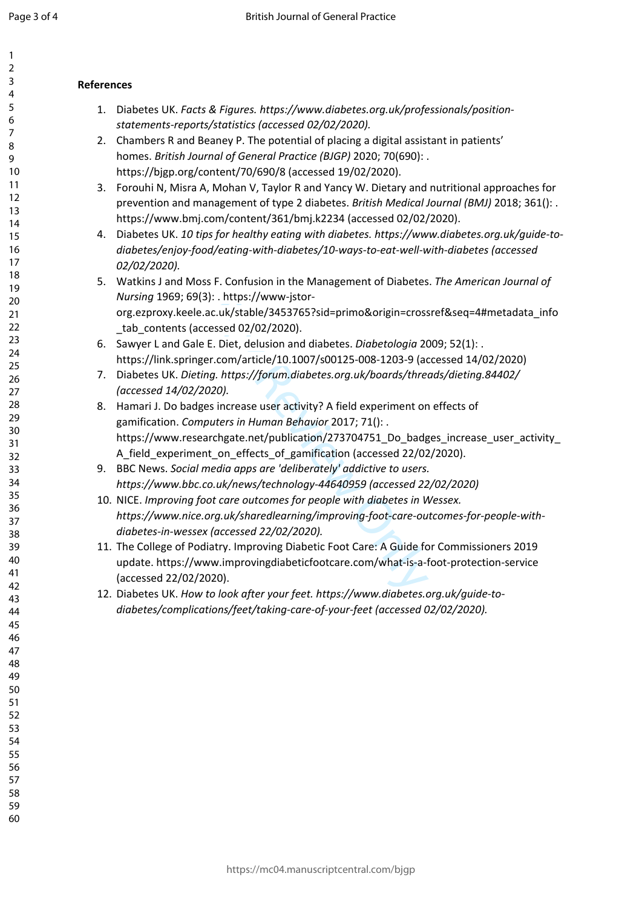$\mathbf{1}$ 

| 1                              |  |
|--------------------------------|--|
| 2                              |  |
| 3                              |  |
| 4                              |  |
| 5                              |  |
| 6                              |  |
|                                |  |
| 8                              |  |
| 9                              |  |
| 10                             |  |
| 1<br>$\mathbf{1}$              |  |
| $\mathbf{1}$<br>$\overline{2}$ |  |
| $\overline{\mathbf{3}}$<br>1   |  |
| 4<br>1                         |  |
| 15                             |  |
| 16                             |  |
| 1                              |  |
| 18                             |  |
| 19                             |  |
| 20                             |  |
|                                |  |
| $\overline{21}$                |  |
| $^{22}$                        |  |
| $^{23}$                        |  |
| $^{24}$                        |  |
| 25                             |  |
| 26                             |  |
| 27                             |  |
| 28                             |  |
| 29                             |  |
| 30                             |  |
| $\overline{31}$                |  |
| $\overline{32}$                |  |
| 33                             |  |
| 34                             |  |
| 35                             |  |
| 36                             |  |
| 37                             |  |
| 88                             |  |
| 39                             |  |
| 40                             |  |
| 41                             |  |
| 42                             |  |
| 43                             |  |
|                                |  |
| 44                             |  |
| 45                             |  |
| 46                             |  |
| 47                             |  |
| 48                             |  |
| 49                             |  |
| 50                             |  |
| 51                             |  |
| 52<br>2                        |  |
| 53                             |  |
| 54                             |  |
| 55                             |  |
| 56                             |  |
| 57                             |  |
| 58                             |  |
|                                |  |

59 60

# **References**

- 1. Diabetes UK. *Facts & Figures. https://www.diabetes.org.uk/professionals/positionstatements-reports/statistics (accessed 02/02/2020).*
- 2. Chambers R and Beaney P. The potential of placing a digital assistant in patients' homes. *British Journal of General Practice (BJGP)* 2020; 70(690): . https://bjgp.org/content/70/690/8 (accessed 19/02/2020).
- 3. Forouhi N, Misra A, Mohan V, Taylor R and Yancy W. Dietary and nutritional approaches for prevention and management of type 2 diabetes. *British Medical Journal (BMJ)* 2018; 361(): . https://www.bmj.com/content/361/bmj.k2234 (accessed 02/02/2020).
- 4. Diabetes UK. *10 tips for healthy eating with diabetes. https://www.diabetes.org.uk/guide-todiabetes/enjoy-food/eating-with-diabetes/10-ways-to-eat-well-with-diabetes (accessed 02/02/2020).*
- 5. Watkins J and Moss F. Confusion in the Management of Diabetes. *The American Journal of Nursing* 1969; 69(3): . https://www-jstororg.ezproxy.keele.ac.uk/stable/3453765?sid=primo&origin=crossref&seq=4#metadata\_info tab\_contents (accessed 02/02/2020).
- 6. Sawyer L and Gale E. Diet, delusion and diabetes. *Diabetologia* 2009; 52(1): . https://link.springer.com/article/10.1007/s00125-008-1203-9 (accessed 14/02/2020)
- 7. Diabetes UK. *Dieting. https://forum.diabetes.org.uk/boards/threads/dieting.84402/ (accessed 14/02/2020).*
- ): . https://www-jstor-<br>ac.uk/stable/3453765?sid=primo&origin=cross<br>essed 02/02/2020).<br>E. Diet, delusion and diabetes. *Diabetologia* 20<br>r.com/article/10.1007/s00125-008-1203-9 (ac<br>arg. https://forum.diabetes.org.uk/boards 8. Hamari J. Do badges increase user activity? A field experiment on effects of gamification. *Computers in Human Behavior* 2017; 71(): . https://www.researchgate.net/publication/273704751\_Do\_badges\_increase\_user\_activity A field experiment on effects of gamification (accessed 22/02/2020).
- 9. BBC News. *Social media apps are 'deliberately' addictive to users. https://www.bbc.co.uk/news/technology-44640959 (accessed 22/02/2020)*
- 10. NICE. *Improving foot care outcomes for people with diabetes in Wessex. https://www.nice.org.uk/sharedlearning/improving-foot-care-outcomes-for-people-withdiabetes-in-wessex (accessed 22/02/2020).*
- 11. The College of Podiatry. Improving Diabetic Foot Care: A Guide for Commissioners 2019 update. https://www.improvingdiabeticfootcare.com/what-is-a-foot-protection-service (accessed 22/02/2020).
- 12. Diabetes UK. *How to look after your feet. https://www.diabetes.org.uk/guide-todiabetes/complications/feet/taking-care-of-your-feet (accessed 02/02/2020).*